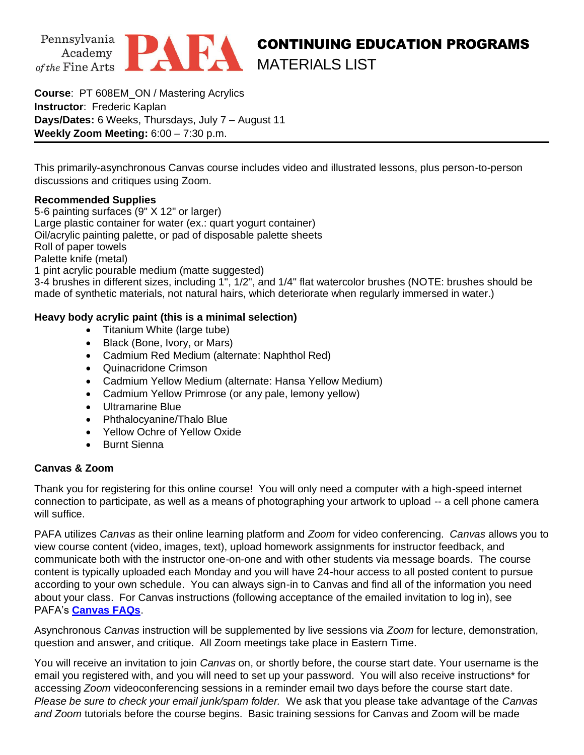



**Course**: PT 608EM\_ON / Mastering Acrylics **Instructor**: Frederic Kaplan **Days/Dates:** 6 Weeks, Thursdays, July 7 – August 11 **Weekly Zoom Meeting:** 6:00 – 7:30 p.m.

This primarily-asynchronous Canvas course includes video and illustrated lessons, plus person-to-person discussions and critiques using Zoom.

## **Recommended Supplies**

5-6 painting surfaces (9" X 12" or larger) Large plastic container for water (ex.: quart yogurt container) Oil/acrylic painting palette, or pad of disposable palette sheets Roll of paper towels Palette knife (metal) 1 pint acrylic pourable medium (matte suggested)

3-4 brushes in different sizes, including 1", 1/2", and 1/4" flat watercolor brushes (NOTE: brushes should be made of synthetic materials, not natural hairs, which deteriorate when regularly immersed in water.)

## **Heavy body acrylic paint (this is a minimal selection)**

- Titanium White (large tube)
- Black (Bone, Ivory, or Mars)
- Cadmium Red Medium (alternate: Naphthol Red)
- Quinacridone Crimson
- Cadmium Yellow Medium (alternate: Hansa Yellow Medium)
- Cadmium Yellow Primrose (or any pale, lemony yellow)
- Ultramarine Blue
- Phthalocyanine/Thalo Blue
- Yellow Ochre of Yellow Oxide
- Burnt Sienna

## **Canvas & Zoom**

Thank you for registering for this online course! You will only need a computer with a high-speed internet connection to participate, as well as a means of photographing your artwork to upload -- a cell phone camera will suffice.

PAFA utilizes *Canvas* as their online learning platform and *Zoom* for video conferencing. *Canvas* allows you to view course content (video, images, text), upload homework assignments for instructor feedback, and communicate both with the instructor one-on-one and with other students via message boards. The course content is typically uploaded each Monday and you will have 24-hour access to all posted content to pursue according to your own schedule. You can always sign-in to Canvas and find all of the information you need about your class. For Canvas instructions (following acceptance of the emailed invitation to log in), see PAFA's **[Canvas FAQs](https://www.pafa.org/sites/default/files/2020-11/CanvasStudentFAQs.pdf)**.

Asynchronous *Canvas* instruction will be supplemented by live sessions via *Zoom* for lecture, demonstration, question and answer, and critique. All Zoom meetings take place in Eastern Time.

You will receive an invitation to join *Canvas* on, or shortly before, the course start date. Your username is the email you registered with, and you will need to set up your password. You will also receive instructions\* for accessing *Zoom* videoconferencing sessions in a reminder email two days before the course start date. *Please be sure to check your email junk/spam folder.* We ask that you please take advantage of the *Canvas and Zoom* tutorials before the course begins. Basic training sessions for Canvas and Zoom will be made